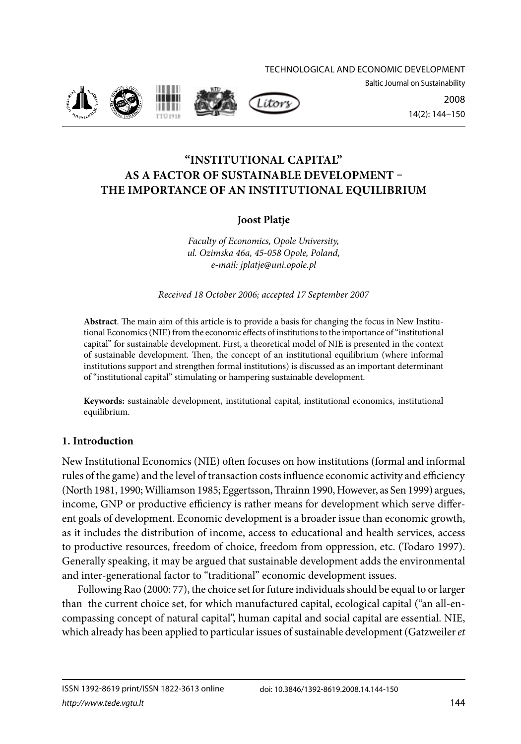Technological and economic development





Baltic Journal on Sustainability

2008 14(2): 144–150

# **"INSTITUTIONAL CAPITAL" AS A FACTOR OF SUSTAINABLE DEVELOPMENT – THE IMPORTANCE OF AN INSTITUTIONAL EQUILIBRIUM**

## **Joost Platje**

*Faculty of Economics, Opole University, ul. Ozimska 46a, 45-058 Opole, Poland, e-mail: jplatje@uni.opole.pl*

*Received 18 October 2006; accepted 17 September 2007*

**Abstract**. The main aim of this article is to provide a basis for changing the focus in New Institutional Economics (NIE) from the economic effects of institutions to the importance of "institutional capital" for sustainable development. First, a theoretical model of NIE is presented in the context of sustainable development. Then, the concept of an institutional equilibrium (where informal institutions support and strengthen formal institutions) is discussed as an important determinant of "institutional capital" stimulating or hampering sustainable development.

**Keywords:** sustainable development, institutional capital, institutional economics, institutional equilibrium.

## **1. Introduction**

New Institutional Economics (NIE) often focuses on how institutions (formal and informal rules of the game) and the level of transaction costs influence economic activity and efficiency (North 1981, 1990; Williamson 1985; Eggertsson, Thrainn 1990, However, as Sen 1999) argues, income, GNP or productive efficiency is rather means for development which serve different goals of development. Economic development is a broader issue than economic growth, as it includes the distribution of income, access to educational and health services, access to productive resources, freedom of choice, freedom from oppression, etc. (Todaro 1997). Generally speaking, it may be argued that sustainable development adds the environmental and inter-generational factor to "traditional" economic development issues.

Following Rao (2000: 77), the choice set for future individuals should be equal to or larger than the current choice set, for which manufactured capital, ecological capital ("an all-encompassing concept of natural capital", human capital and social capital are essential. NIE, which already has been applied to particular issues of sustainable development (Gatzweiler *et*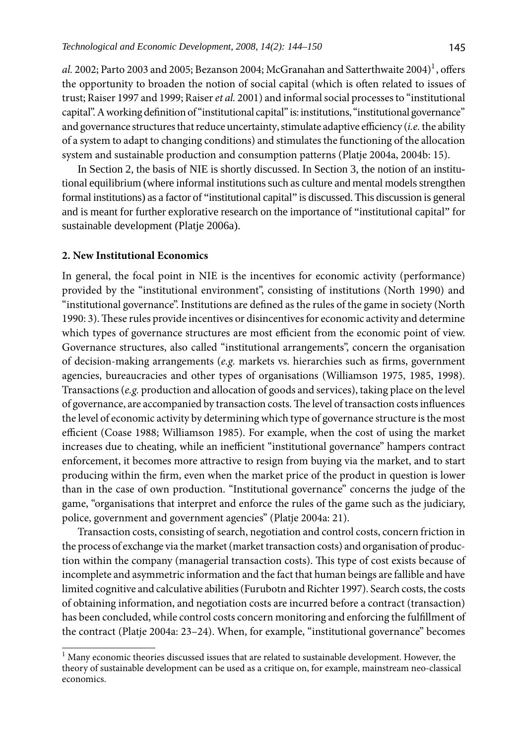*al.* 2002; Parto 2003 and 2005; Bezanson 2004; McGranahan and Satterthwaite  $2004$ <sup>1</sup>, offers the opportunity to broaden the notion of social capital (which is often related to issues of trust; Raiser 1997 and 1999; Raiser *et al.* 2001) and informal social processes to "institutional capital". A working definition of "institutional capital" is: institutions, "institutional governance" and governance structures that reduce uncertainty, stimulate adaptive efficiency (*i.e.* the ability of a system to adapt to changing conditions) and stimulates the functioning of the allocation system and sustainable production and consumption patterns (Platje 2004a, 2004b: 15).

In Section 2, the basis of NIE is shortly discussed. In Section 3, the notion of an institutional equilibrium (where informal institutions such as culture and mental models strengthen formal institutions) as a factor of "institutional capital" is discussed. This discussion is general and is meant for further explorative research on the importance of "institutional capital" for sustainable development (Platje 2006a).

### **2. New Institutional Economics**

In general, the focal point in NIE is the incentives for economic activity (performance) provided by the "institutional environment", consisting of institutions (North 1990) and "institutional governance". Institutions are defined as the rules of the game in society (North 1990: 3). These rules provide incentives or disincentives for economic activity and determine which types of governance structures are most efficient from the economic point of view. Governance structures, also called "institutional arrangements", concern the organisation of decision-making arrangements (*e.g.* markets vs. hierarchies such as firms, government agencies, bureaucracies and other types of organisations (Williamson 1975, 1985, 1998). Transactions (*e.g.* production and allocation of goods and services), taking place on the level of governance, are accompanied by transaction costs. The level of transaction costs influences the level of economic activity by determining which type of governance structure is the most efficient (Coase 1988; Williamson 1985). For example, when the cost of using the market increases due to cheating, while an inefficient "institutional governance" hampers contract enforcement, it becomes more attractive to resign from buying via the market, and to start producing within the firm, even when the market price of the product in question is lower than in the case of own production. "Institutional governance" concerns the judge of the game, "organisations that interpret and enforce the rules of the game such as the judiciary, police, government and government agencies" (Platje 2004a: 21).

Transaction costs, consisting of search, negotiation and control costs, concern friction in the process of exchange via the market (market transaction costs) and organisation of production within the company (managerial transaction costs). This type of cost exists because of incomplete and asymmetric information and the fact that human beings are fallible and have limited cognitive and calculative abilities (Furubotn and Richter 1997). Search costs, the costs of obtaining information, and negotiation costs are incurred before a contract (transaction) has been concluded, while control costs concern monitoring and enforcing the fulfillment of the contract (Platje 2004a: 23–24). When, for example, "institutional governance" becomes

 $1$  Many economic theories discussed issues that are related to sustainable development. However, the theory of sustainable development can be used as a critique on, for example, mainstream neo-classical economics.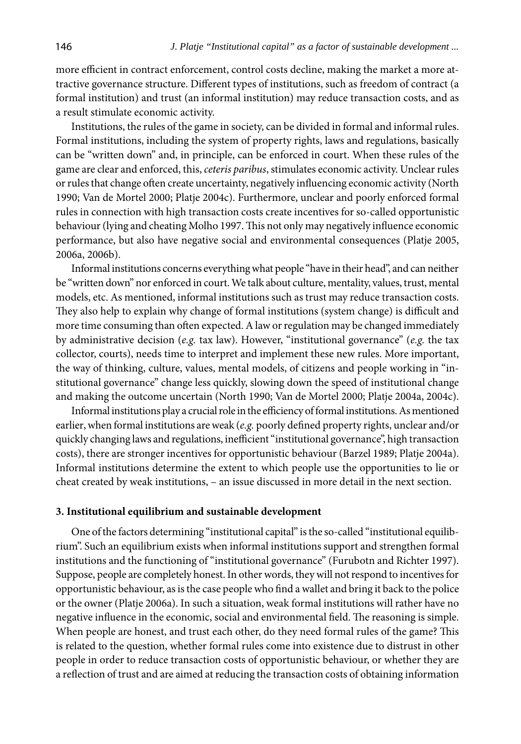more efficient in contract enforcement, control costs decline, making the market a more attractive governance structure. Different types of institutions, such as freedom of contract (a formal institution) and trust (an informal institution) may reduce transaction costs, and as a result stimulate economic activity.

Institutions, the rules of the game in society, can be divided in formal and informal rules. Formal institutions, including the system of property rights, laws and regulations, basically can be "written down" and, in principle, can be enforced in court. When these rules of the game are clear and enforced, this, *ceteris paribus*, stimulates economic activity. Unclear rules or rules that change often create uncertainty, negatively influencing economic activity (North 1990; Van de Mortel 2000; Platje 2004c). Furthermore, unclear and poorly enforced formal rules in connection with high transaction costs create incentives for so-called opportunistic behaviour (lying and cheating Molho 1997. This not only may negatively influence economic performance, but also have negative social and environmental consequences (Platje 2005, 2006a, 2006b).

Informal institutions concerns everything what people "have in their head", and can neither be "written down" nor enforced in court. We talk about culture, mentality, values, trust, mental models, etc. As mentioned, informal institutions such as trust may reduce transaction costs. They also help to explain why change of formal institutions (system change) is difficult and more time consuming than often expected. A law or regulation may be changed immediately by administrative decision (*e.g.* tax law). However, "institutional governance" (*e.g.* the tax collector, courts), needs time to interpret and implement these new rules. More important, the way of thinking, culture, values, mental models, of citizens and people working in "institutional governance" change less quickly, slowing down the speed of institutional change and making the outcome uncertain (North 1990; Van de Mortel 2000; Platje 2004a, 2004c).

Informal institutions play a crucial role in the efficiency of formal institutions. As mentioned earlier, when formal institutions are weak (*e.g.* poorly defined property rights, unclear and/or quickly changing laws and regulations, inefficient "institutional governance", high transaction costs), there are stronger incentives for opportunistic behaviour (Barzel 1989; Platje 2004a). Informal institutions determine the extent to which people use the opportunities to lie or cheat created by weak institutions, – an issue discussed in more detail in the next section.

## **3. Institutional equilibrium and sustainable development**

One of the factors determining "institutional capital" is the so-called "institutional equilibrium". Such an equilibrium exists when informal institutions support and strengthen formal institutions and the functioning of "institutional governance" (Furubotn and Richter 1997). Suppose, people are completely honest. In other words, they will not respond to incentives for opportunistic behaviour, as is the case people who find a wallet and bring it back to the police or the owner (Platje 2006a). In such a situation, weak formal institutions will rather have no negative influence in the economic, social and environmental field. The reasoning is simple. When people are honest, and trust each other, do they need formal rules of the game? This is related to the question, whether formal rules come into existence due to distrust in other people in order to reduce transaction costs of opportunistic behaviour, or whether they are a reflection of trust and are aimed at reducing the transaction costs of obtaining information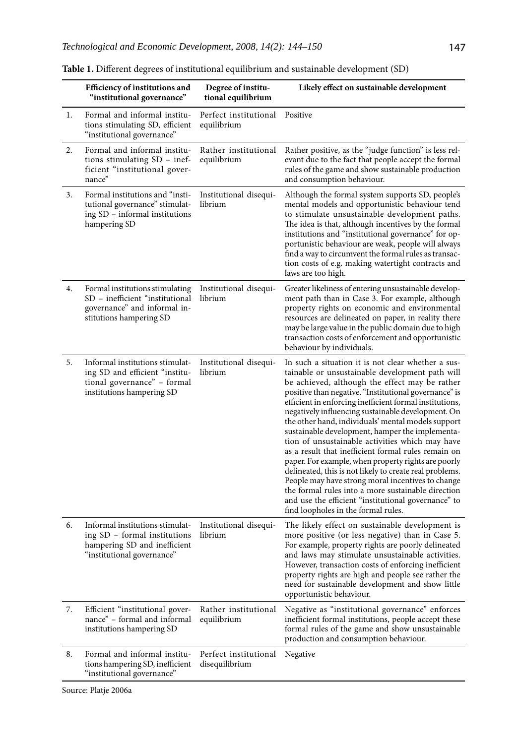|    | Efficiency of institutions and<br>"institutional governance"                                                                  | Degree of institu-<br>tional equilibrium | Likely effect on sustainable development                                                                                                                                                                                                                                                                                                                                                                                                                                                                                                                                                                                                                                                                                                                                                                                                                                        |
|----|-------------------------------------------------------------------------------------------------------------------------------|------------------------------------------|---------------------------------------------------------------------------------------------------------------------------------------------------------------------------------------------------------------------------------------------------------------------------------------------------------------------------------------------------------------------------------------------------------------------------------------------------------------------------------------------------------------------------------------------------------------------------------------------------------------------------------------------------------------------------------------------------------------------------------------------------------------------------------------------------------------------------------------------------------------------------------|
| 1. | Formal and informal institu-<br>tions stimulating SD, efficient<br>"institutional governance"                                 | Perfect institutional<br>equilibrium     | Positive                                                                                                                                                                                                                                                                                                                                                                                                                                                                                                                                                                                                                                                                                                                                                                                                                                                                        |
| 2. | Formal and informal institu-<br>tions stimulating SD - inef-<br>ficient "institutional gover-<br>nance"                       | Rather institutional<br>equilibrium      | Rather positive, as the "judge function" is less rel-<br>evant due to the fact that people accept the formal<br>rules of the game and show sustainable production<br>and consumption behaviour.                                                                                                                                                                                                                                                                                                                                                                                                                                                                                                                                                                                                                                                                                 |
| 3. | Formal institutions and "insti-<br>tutional governance" stimulat-<br>ing SD - informal institutions<br>hampering SD           | Institutional disequi-<br>librium        | Although the formal system supports SD, people's<br>mental models and opportunistic behaviour tend<br>to stimulate unsustainable development paths.<br>The idea is that, although incentives by the formal<br>institutions and "institutional governance" for op-<br>portunistic behaviour are weak, people will always<br>find a way to circumvent the formal rules as transac-<br>tion costs of e.g. making watertight contracts and<br>laws are too high.                                                                                                                                                                                                                                                                                                                                                                                                                    |
| 4. | Formal institutions stimulating<br>SD - inefficient "institutional<br>governance" and informal in-<br>stitutions hampering SD | Institutional disequi-<br>librium        | Greater likeliness of entering unsustainable develop-<br>ment path than in Case 3. For example, although<br>property rights on economic and environmental<br>resources are delineated on paper, in reality there<br>may be large value in the public domain due to high<br>transaction costs of enforcement and opportunistic<br>behaviour by individuals.                                                                                                                                                                                                                                                                                                                                                                                                                                                                                                                      |
| 5. | Informal institutions stimulat-<br>ing SD and efficient "institu-<br>tional governance" - formal<br>institutions hampering SD | Institutional disequi-<br>librium        | In such a situation it is not clear whether a sus-<br>tainable or unsustainable development path will<br>be achieved, although the effect may be rather<br>positive than negative. "Institutional governance" is<br>efficient in enforcing inefficient formal institutions,<br>negatively influencing sustainable development. On<br>the other hand, individuals' mental models support<br>sustainable development, hamper the implementa-<br>tion of unsustainable activities which may have<br>as a result that inefficient formal rules remain on<br>paper. For example, when property rights are poorly<br>delineated, this is not likely to create real problems.<br>People may have strong moral incentives to change<br>the formal rules into a more sustainable direction<br>and use the efficient "institutional governance" to<br>find loopholes in the formal rules. |
| 6. | Informal institutions stimulat-<br>ing SD – formal institutions<br>hampering SD and inefficient<br>"institutional governance" | Institutional disequi-<br>librium        | The likely effect on sustainable development is<br>more positive (or less negative) than in Case 5.<br>For example, property rights are poorly delineated<br>and laws may stimulate unsustainable activities.<br>However, transaction costs of enforcing inefficient<br>property rights are high and people see rather the<br>need for sustainable development and show little<br>opportunistic behaviour.                                                                                                                                                                                                                                                                                                                                                                                                                                                                      |
| 7. | Efficient "institutional gover-<br>nance" - formal and informal<br>institutions hampering SD                                  | Rather institutional<br>equilibrium      | Negative as "institutional governance" enforces<br>inefficient formal institutions, people accept these<br>formal rules of the game and show unsustainable<br>production and consumption behaviour.                                                                                                                                                                                                                                                                                                                                                                                                                                                                                                                                                                                                                                                                             |
| 8. | Formal and informal institu-<br>tions hampering SD, inefficient<br>"institutional governance"                                 | Perfect institutional<br>disequilibrium  | Negative                                                                                                                                                                                                                                                                                                                                                                                                                                                                                                                                                                                                                                                                                                                                                                                                                                                                        |

**Table 1.** Different degrees of institutional equilibrium and sustainable development (SD)

Source: Platje 2006a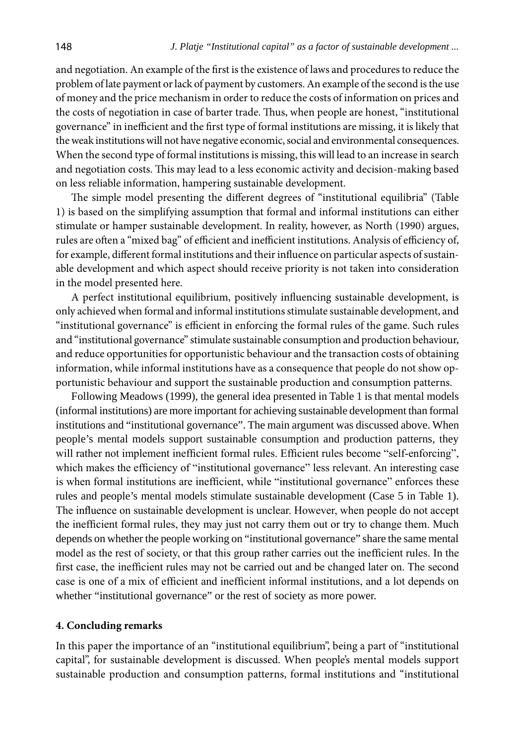and negotiation. An example of the first is the existence of laws and procedures to reduce the problem of late payment or lack of payment by customers. An example of the second is the use of money and the price mechanism in order to reduce the costs of information on prices and the costs of negotiation in case of barter trade. Thus, when people are honest, "institutional governance" in inefficient and the first type of formal institutions are missing, it is likely that the weak institutions will not have negative economic, social and environmental consequences. When the second type of formal institutions is missing, this will lead to an increase in search and negotiation costs. This may lead to a less economic activity and decision-making based on less reliable information, hampering sustainable development.

The simple model presenting the different degrees of "institutional equilibria" (Table 1) is based on the simplifying assumption that formal and informal institutions can either stimulate or hamper sustainable development. In reality, however, as North (1990) argues, rules are often a "mixed bag" of efficient and inefficient institutions. Analysis of efficiency of, for example, different formal institutions and their influence on particular aspects of sustainable development and which aspect should receive priority is not taken into consideration in the model presented here.

A perfect institutional equilibrium, positively influencing sustainable development, is only achieved when formal and informal institutions stimulate sustainable development, and "institutional governance" is efficient in enforcing the formal rules of the game. Such rules and "institutional governance" stimulate sustainable consumption and production behaviour, and reduce opportunities for opportunistic behaviour and the transaction costs of obtaining information, while informal institutions have as a consequence that people do not show opportunistic behaviour and support the sustainable production and consumption patterns.

Following Meadows (1999), the general idea presented in Table 1 is that mental models (informal institutions) are more important for achieving sustainable development than formal institutions and "institutional governance". The main argument was discussed above. When people's mental models support sustainable consumption and production patterns, they will rather not implement inefficient formal rules. Efficient rules become "self-enforcing", which makes the efficiency of "institutional governance" less relevant. An interesting case is when formal institutions are inefficient, while "institutional governance" enforces these rules and people's mental models stimulate sustainable development (Case 5 in Table 1). The influence on sustainable development is unclear. However, when people do not accept the inefficient formal rules, they may just not carry them out or try to change them. Much depends on whether the people working on "institutional governance" share the same mental model as the rest of society, or that this group rather carries out the inefficient rules. In the first case, the inefficient rules may not be carried out and be changed later on. The second case is one of a mix of efficient and inefficient informal institutions, and a lot depends on whether "institutional governance" or the rest of society as more power.

## **4. Concluding remarks**

In this paper the importance of an "institutional equilibrium", being a part of "institutional capital", for sustainable development is discussed. When people's mental models support sustainable production and consumption patterns, formal institutions and "institutional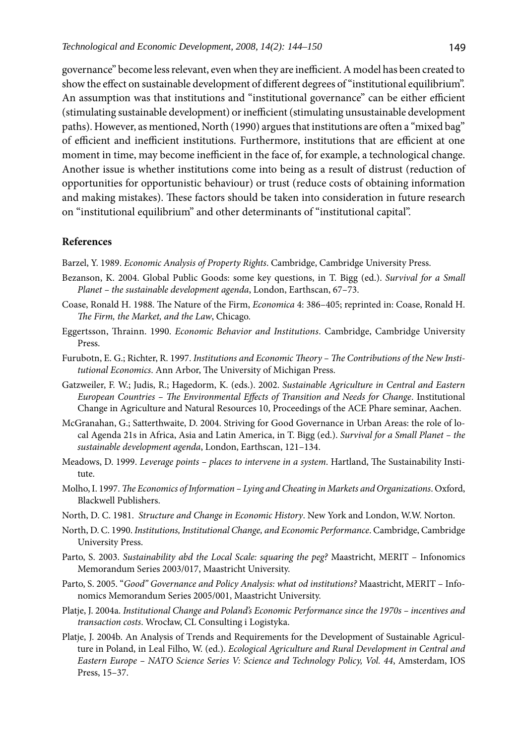governance" become less relevant, even when they are inefficient. A model has been created to show the effect on sustainable development of different degrees of "institutional equilibrium". An assumption was that institutions and "institutional governance" can be either efficient (stimulating sustainable development) or inefficient (stimulating unsustainable development paths). However, as mentioned, North (1990) argues that institutions are often a "mixed bag" of efficient and inefficient institutions. Furthermore, institutions that are efficient at one moment in time, may become inefficient in the face of, for example, a technological change. Another issue is whether institutions come into being as a result of distrust (reduction of opportunities for opportunistic behaviour) or trust (reduce costs of obtaining information and making mistakes). These factors should be taken into consideration in future research on "institutional equilibrium" and other determinants of "institutional capital".

### **References**

Barzel, Y. 1989. *Economic Analysis of Property Rights*. Cambridge, Cambridge University Press.

- Bezanson, K. 2004. Global Public Goods: some key questions, in T. Bigg (ed.). *Survival for a Small Planet – the sustainable development agenda*, London, Earthscan, 67–73.
- Coase, Ronald H. 1988. The Nature of the Firm, *Economica* 4: 386–405; reprinted in: Coase, Ronald H. *The Firm, the Market, and the Law*, Chicago.
- Eggertsson, Thrainn. 1990. *Economic Behavior and Institutions*. Cambridge, Cambridge University Press.
- Furubotn, E. G.; Richter, R. 1997. *Institutions and Economic Theory The Contributions of the New Institutional Economics*. Ann Arbor, The University of Michigan Press.
- Gatzweiler, F. W.; Judis, R.; Hagedorm, K. (eds.). 2002. *Sustainable Agriculture in Central and Eastern European Countries – The Environmental Effects of Transition and Needs for Change*. Institutional Change in Agriculture and Natural Resources 10, Proceedings of the ACE Phare seminar, Aachen.
- McGranahan, G.; Satterthwaite, D. 2004. Striving for Good Governance in Urban Areas: the role of local Agenda 21s in Africa, Asia and Latin America, in T. Bigg (ed.). *Survival for a Small Planet – the sustainable development agenda*, London, Earthscan, 121–134.
- Meadows, D. 1999. *Leverage points places to intervene in a system*. Hartland, The Sustainability Institute.
- Molho, I. 1997. *The Economics of Information Lying and Cheating in Markets and Organizations*. Oxford, Blackwell Publishers.
- North, D. C. 1981. *Structure and Change in Economic History*. New York and London, W.W. Norton.
- North, D. C. 1990. *Institutions, Institutional Change, and Economic Performance*. Cambridge, Cambridge University Press.
- Parto, S. 2003. *Sustainability abd the Local Scale: squaring the peg?* Maastricht, MERIT Infonomics Memorandum Series 2003/017, Maastricht University.
- Parto, S. 2005. "*Good" Governance and Policy Analysis: what od institutions?* Maastricht, MERIT Infonomics Memorandum Series 2005/001, Maastricht University.
- Platje, J. 2004a. *Institutional Change and Poland's Economic Performance since the 1970s incentives and transaction costs*. Wrocław, CL Consulting i Logistyka.
- Platje, J. 2004b. An Analysis of Trends and Requirements for the Development of Sustainable Agriculture in Poland, in Leal Filho, W. (ed.). *Ecological Agriculture and Rural Development in Central and Eastern Europe – NATO Science Series V: Science and Technology Policy, Vol. 44*, Amsterdam, IOS Press, 15–37.